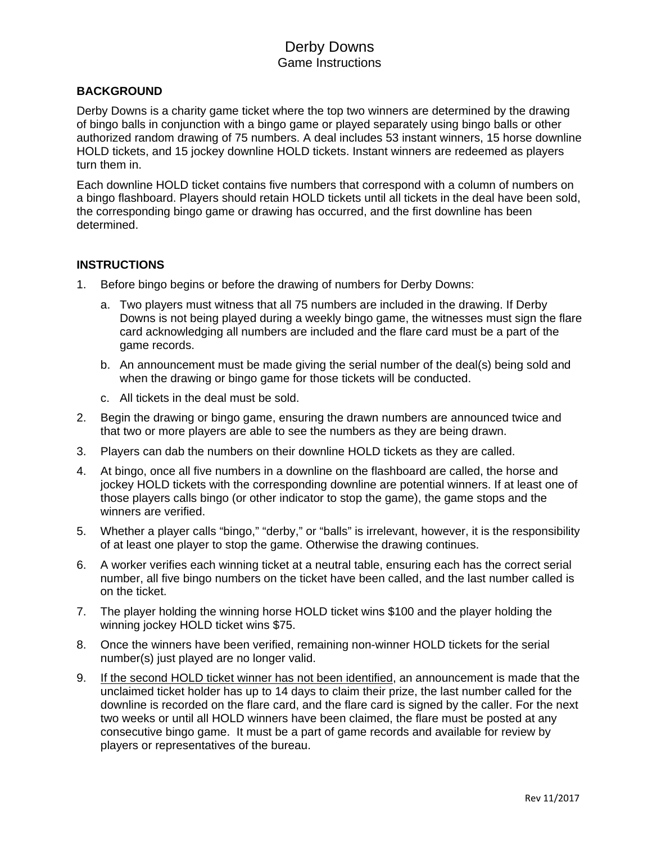# Derby Downs Game Instructions

## **BACKGROUND**

Derby Downs is a charity game ticket where the top two winners are determined by the drawing of bingo balls in conjunction with a bingo game or played separately using bingo balls or other authorized random drawing of 75 numbers. A deal includes 53 instant winners, 15 horse downline HOLD tickets, and 15 jockey downline HOLD tickets. Instant winners are redeemed as players turn them in.

Each downline HOLD ticket contains five numbers that correspond with a column of numbers on a bingo flashboard. Players should retain HOLD tickets until all tickets in the deal have been sold, the corresponding bingo game or drawing has occurred, and the first downline has been determined.

### **INSTRUCTIONS**

- 1. Before bingo begins or before the drawing of numbers for Derby Downs:
	- a. Two players must witness that all 75 numbers are included in the drawing. If Derby Downs is not being played during a weekly bingo game, the witnesses must sign the flare card acknowledging all numbers are included and the flare card must be a part of the game records.
	- b. An announcement must be made giving the serial number of the deal(s) being sold and when the drawing or bingo game for those tickets will be conducted.
	- c. All tickets in the deal must be sold.
- 2. Begin the drawing or bingo game, ensuring the drawn numbers are announced twice and that two or more players are able to see the numbers as they are being drawn.
- 3. Players can dab the numbers on their downline HOLD tickets as they are called.
- 4. At bingo, once all five numbers in a downline on the flashboard are called, the horse and jockey HOLD tickets with the corresponding downline are potential winners. If at least one of those players calls bingo (or other indicator to stop the game), the game stops and the winners are verified.
- 5. Whether a player calls "bingo," "derby," or "balls" is irrelevant, however, it is the responsibility of at least one player to stop the game. Otherwise the drawing continues.
- 6. A worker verifies each winning ticket at a neutral table, ensuring each has the correct serial number, all five bingo numbers on the ticket have been called, and the last number called is on the ticket.
- 7. The player holding the winning horse HOLD ticket wins \$100 and the player holding the winning jockey HOLD ticket wins \$75.
- 8. Once the winners have been verified, remaining non-winner HOLD tickets for the serial number(s) just played are no longer valid.
- 9. If the second HOLD ticket winner has not been identified, an announcement is made that the unclaimed ticket holder has up to 14 days to claim their prize, the last number called for the downline is recorded on the flare card, and the flare card is signed by the caller. For the next two weeks or until all HOLD winners have been claimed, the flare must be posted at any consecutive bingo game. It must be a part of game records and available for review by players or representatives of the bureau.